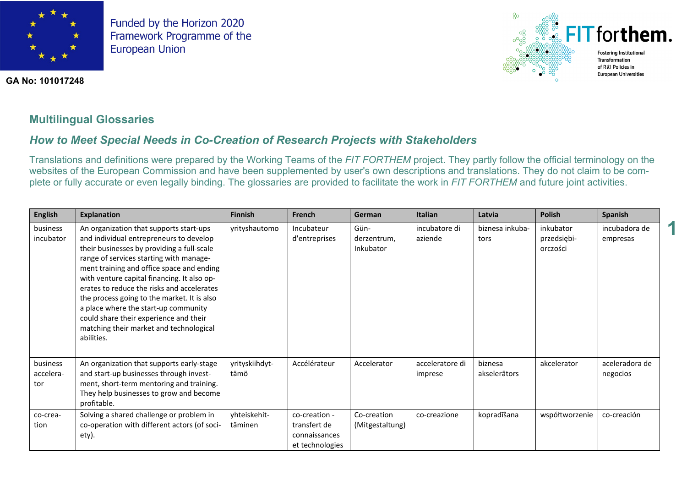

**GA No: 101017248**



**1**

## **Multilingual Glossaries**

# *How to Meet Special Needs in Co-Creation of Research Projects with Stakeholders*

Translations and definitions were prepared by the Working Teams of the *FIT FORTHEM* project. They partly follow the official terminology on the websites of the European Commission and have been supplemented by user's own descriptions and translations. They do not claim to be complete or fully accurate or even legally binding. The glossaries are provided to facilitate the work in *FIT FORTHEM* and future joint activities.

| <b>English</b>               | <b>Explanation</b>                                                                                                                                                                                                                                                                                                                                                                                                                                                                                              | <b>Finnish</b>          | French                                                            | German                           | <b>Italian</b>             | Latvia                  | <b>Polish</b>                        | Spanish                    |
|------------------------------|-----------------------------------------------------------------------------------------------------------------------------------------------------------------------------------------------------------------------------------------------------------------------------------------------------------------------------------------------------------------------------------------------------------------------------------------------------------------------------------------------------------------|-------------------------|-------------------------------------------------------------------|----------------------------------|----------------------------|-------------------------|--------------------------------------|----------------------------|
| business<br>incubator        | An organization that supports start-ups<br>and individual entrepreneurs to develop<br>their businesses by providing a full-scale<br>range of services starting with manage-<br>ment training and office space and ending<br>with venture capital financing. It also op-<br>erates to reduce the risks and accelerates<br>the process going to the market. It is also<br>a place where the start-up community<br>could share their experience and their<br>matching their market and technological<br>abilities. | yrityshautomo           | Incubateur<br>d'entreprises                                       | Gün-<br>derzentrum,<br>Inkubator | incubatore di<br>aziende   | biznesa inkuba-<br>tors | inkubator<br>przedsiębi-<br>orczości | incubadora de<br>empresas  |
| business<br>accelera-<br>tor | An organization that supports early-stage<br>and start-up businesses through invest-<br>ment, short-term mentoring and training.<br>They help businesses to grow and become<br>profitable.                                                                                                                                                                                                                                                                                                                      | yrityskiihdyt-<br>tämö  | Accélérateur                                                      | Accelerator                      | acceleratore di<br>imprese | biznesa<br>akselerātors | akcelerator                          | aceleradora de<br>negocios |
| co-crea-<br>tion             | Solving a shared challenge or problem in<br>co-operation with different actors (of soci-<br>ety).                                                                                                                                                                                                                                                                                                                                                                                                               | yhteiskehit-<br>täminen | co-creation -<br>transfert de<br>connaissances<br>et technologies | Co-creation<br>(Mitgestaltung)   | co-creazione               | kopradīšana             | współtworzenie                       | co-creación                |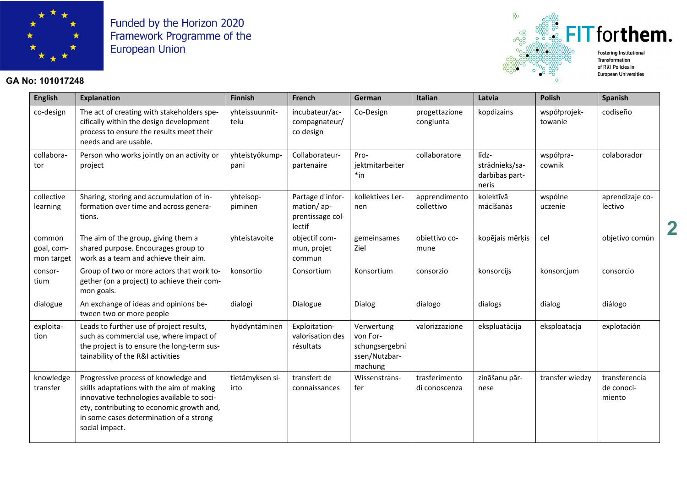

### **GA No: 101017248**



**European Universities** 

**2**

| <b>English</b>                     | <b>Explanation</b>                                                                                                                                                                                                                        | Finnish                 | French                                                       | German                                                               | Italian                        | Latvia                                             | <b>Polish</b>           | Spanish                               |
|------------------------------------|-------------------------------------------------------------------------------------------------------------------------------------------------------------------------------------------------------------------------------------------|-------------------------|--------------------------------------------------------------|----------------------------------------------------------------------|--------------------------------|----------------------------------------------------|-------------------------|---------------------------------------|
| co-design                          | The act of creating with stakeholders spe-<br>cifically within the design development<br>process to ensure the results meet their<br>needs and are usable.                                                                                | yhteissuunnit-<br>telu  | incubateur/ac-<br>compagnateur/<br>co design                 | Co-Design                                                            | progettazione<br>congiunta     | kopdizains                                         | współprojek-<br>towanie | codiseño                              |
| collabora-<br>tor                  | Person who works jointly on an activity or<br>project                                                                                                                                                                                     | yhteistyökump-<br>pani  | Collaborateur-<br>partenaire                                 | Pro-<br>jektmitarbeiter<br>$*in$                                     | collaboratore                  | līdz-<br>strādnieks/sa-<br>darbības part-<br>neris | współpra-<br>cownik     | colaborador                           |
| collective<br>learning             | Sharing, storing and accumulation of in-<br>formation over time and across genera-<br>tions.                                                                                                                                              | yhteisop-<br>piminen    | Partage d'infor-<br>mation/ap-<br>prentissage col-<br>lectif | kollektives Ler-<br>nen                                              | apprendimento<br>collettivo    | kolektīvā<br>mācīšanās                             | wspólne<br>uczenie      | aprendizaje co-<br>lectivo            |
| common<br>goal, com-<br>mon target | The aim of the group, giving them a<br>shared purpose. Encourages group to<br>work as a team and achieve their aim.                                                                                                                       | yhteistavoite           | objectif com-<br>mun, projet<br>commun                       | gemeinsames<br>Ziel                                                  | obiettivo co-<br>mune          | kopējais mērķis                                    | cel                     | objetivo común                        |
| consor-<br>tium                    | Group of two or more actors that work to-<br>gether (on a project) to achieve their com-<br>mon goals.                                                                                                                                    | konsortio               | Consortium                                                   | Konsortium                                                           | consorzio                      | konsorcijs                                         | konsorcjum              | consorcio                             |
| dialogue                           | An exchange of ideas and opinions be-<br>tween two or more people                                                                                                                                                                         | dialogi                 | Dialogue                                                     | Dialog                                                               | dialogo                        | dialogs                                            | dialog                  | diálogo                               |
| exploita-<br>tion                  | Leads to further use of project results,<br>such as commercial use, where impact of<br>the project is to ensure the long-term sus-<br>tainability of the R&I activities                                                                   | hyödyntäminen           | Exploitation-<br>valorisation des<br>résultats               | Verwertung<br>von For-<br>schungsergebni<br>ssen/Nutzbar-<br>machung | valorizzazione                 | ekspluatācija                                      | eksploatacja            | explotación                           |
| knowledge<br>transfer              | Progressive process of knowledge and<br>skills adaptations with the aim of making<br>innovative technologies available to soci-<br>ety, contributing to economic growth and,<br>in some cases determination of a strong<br>social impact. | tietämyksen si-<br>irto | transfert de<br>connaissances                                | Wissenstrans-<br>fer                                                 | trasferimento<br>di conoscenza | zināšanu pār-<br>nese                              | transfer wiedzy         | transferencia<br>de conoci-<br>miento |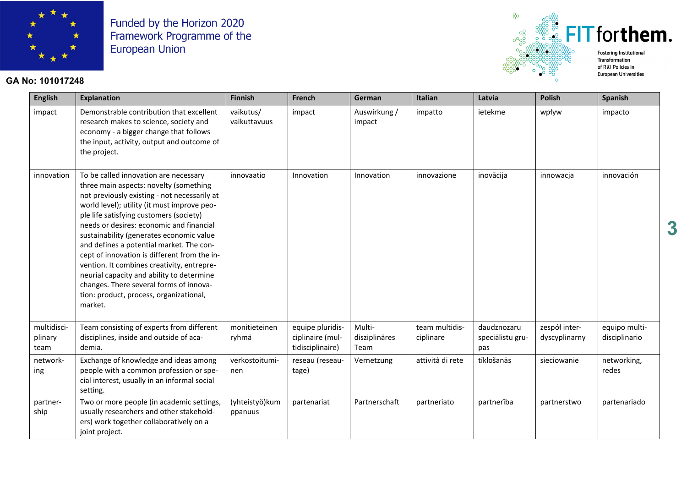

### **GA No: 101017248**



of R&I Policies in **European Universities** 

| <b>English</b>                 | <b>Explanation</b>                                                                                                                                                                                                                                                                                                                                                                                                                                                                                                                                                                                        | <b>Finnish</b>             | French                                                   | <b>German</b>                   | <b>Italian</b>              | Latvia                                 | <b>Polish</b>                  | Spanish                        |
|--------------------------------|-----------------------------------------------------------------------------------------------------------------------------------------------------------------------------------------------------------------------------------------------------------------------------------------------------------------------------------------------------------------------------------------------------------------------------------------------------------------------------------------------------------------------------------------------------------------------------------------------------------|----------------------------|----------------------------------------------------------|---------------------------------|-----------------------------|----------------------------------------|--------------------------------|--------------------------------|
| impact                         | Demonstrable contribution that excellent<br>research makes to science, society and<br>economy - a bigger change that follows<br>the input, activity, output and outcome of<br>the project.                                                                                                                                                                                                                                                                                                                                                                                                                | vaikutus/<br>vaikuttavuus  | impact                                                   | Auswirkung /<br>impact          | impatto                     | ietekme                                | wpływ                          | impacto                        |
| innovation                     | To be called innovation are necessary<br>three main aspects: novelty (something<br>not previously existing - not necessarily at<br>world level); utility (it must improve peo-<br>ple life satisfying customers (society)<br>needs or desires: economic and financial<br>sustainability (generates economic value<br>and defines a potential market. The con-<br>cept of innovation is different from the in-<br>vention. It combines creativity, entrepre-<br>neurial capacity and ability to determine<br>changes. There several forms of innova-<br>tion: product, process, organizational,<br>market. | innovaatio                 | Innovation                                               | Innovation                      | innovazione                 | inovācija                              | innowacja                      | innovación                     |
| multidisci-<br>plinary<br>team | Team consisting of experts from different<br>disciplines, inside and outside of aca-<br>demia.                                                                                                                                                                                                                                                                                                                                                                                                                                                                                                            | monitieteinen<br>ryhmä     | equipe pluridis-<br>ciplinaire (mul-<br>tidisciplinaire) | Multi-<br>disziplinäres<br>Team | team multidis-<br>ciplinare | daudznozaru<br>speciālistu gru-<br>pas | zespół inter-<br>dyscyplinarny | equipo multi-<br>disciplinario |
| network-<br>ing                | Exchange of knowledge and ideas among<br>people with a common profession or spe-<br>cial interest, usually in an informal social<br>setting.                                                                                                                                                                                                                                                                                                                                                                                                                                                              | verkostoitumi-<br>nen      | reseau (reseau-<br>tage)                                 | Vernetzung                      | attività di rete            | tīklošanās                             | sieciowanie                    | networking,<br>redes           |
| partner-<br>ship               | Two or more people (in academic settings,<br>usually researchers and other stakehold-<br>ers) work together collaboratively on a<br>joint project.                                                                                                                                                                                                                                                                                                                                                                                                                                                        | (yhteistyö) kum<br>ppanuus | partenariat                                              | Partnerschaft                   | partneriato                 | partnerība                             | partnerstwo                    | partenariado                   |